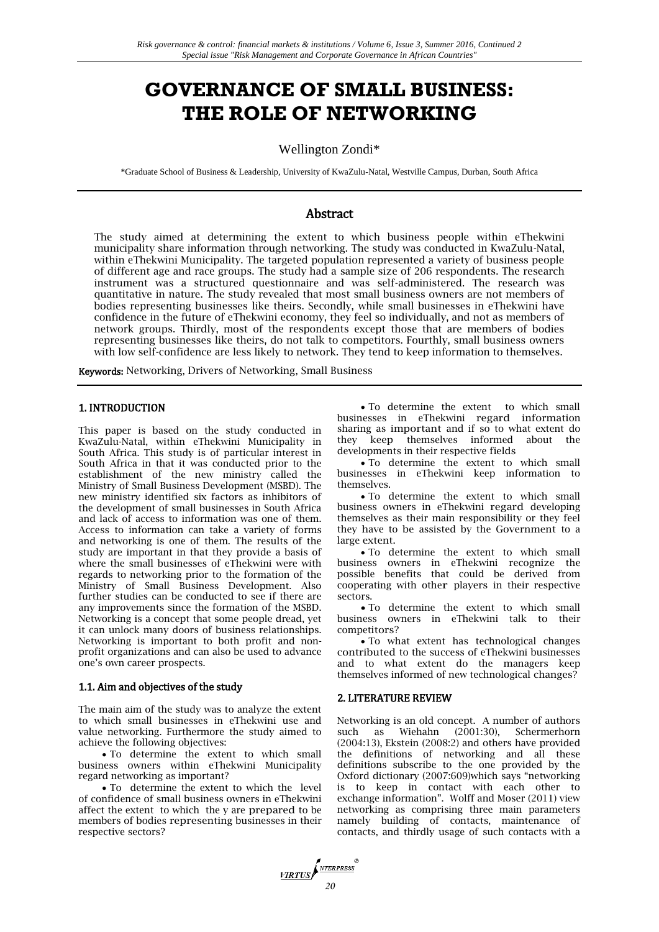# **GOVERNANCE OF SMALL BUSINESS: THE ROLE OF NETWORKING**

# Wellington Zondi\*

\*Graduate School of Business & Leadership, University of KwaZulu-Natal, Westville Campus, Durban, South Africa

# Abstract

The study aimed at determining the extent to which business people within eThekwini municipality share information through networking. The study was conducted in KwaZulu-Natal, within eThekwini Municipality. The targeted population represented a variety of business people of different age and race groups. The study had a sample size of 206 respondents. The research instrument was a structured questionnaire and was self-administered. The research was quantitative in nature. The study revealed that most small business owners are not members of bodies representing businesses like theirs. Secondly, while small businesses in eThekwini have confidence in the future of eThekwini economy, they feel so individually, and not as members of network groups. Thirdly, most of the respondents except those that are members of bodies representing businesses like theirs, do not talk to competitors. Fourthly, small business owners with low self-confidence are less likely to network. They tend to keep information to themselves.

Keywords: Networking, Drivers of Networking, Small Business

#### 1. INTRODUCTION

This paper is based on the study conducted in KwaZulu-Natal, within eThekwini Municipality in South Africa. This study is of particular interest in South Africa in that it was conducted prior to the establishment of the new ministry called the Ministry of Small Business Development (MSBD). The new ministry identified six factors as inhibitors of the development of small businesses in South Africa and lack of access to information was one of them. Access to information can take a variety of forms and networking is one of them. The results of the study are important in that they provide a basis of where the small businesses of eThekwini were with regards to networking prior to the formation of the Ministry of Small Business Development. Also further studies can be conducted to see if there are any improvements since the formation of the MSBD. Networking is a concept that some people dread, yet it can unlock many doors of business relationships. Networking is important to both profit and nonprofit organizations and can also be used to advance one's own career prospects.

#### 1.1. Aim and objectives of the study

The main aim of the study was to analyze the extent to which small businesses in eThekwini use and value networking. Furthermore the study aimed to achieve the following objectives:

 To determine the extent to which small business owners within eThekwini Municipality regard networking as important?

 To determine the extent to which the level of confidence of small business owners in eThekwini affect the extent to which the y are prepared to be members of bodies representing businesses in their respective sectors?

 To determine the extent to which small businesses in eThekwini regard information sharing as important and if so to what extent do they keep themselves informed about the developments in their respective fields

 To determine the extent to which small businesses in eThekwini keep information to themselves.

 To determine the extent to which small business owners in eThekwini regard developing themselves as their main responsibility or they feel they have to be assisted by the Government to a large extent.

 To determine the extent to which small business owners in eThekwini recognize the possible benefits that could be derived from cooperating with other players in their respective sectors.

 To determine the extent to which small business owners in eThekwini talk to their competitors?

 To what extent has technological changes contributed to the success of eThekwini businesses and to what extent do the managers keep themselves informed of new technological changes?

#### 2. LITERATURE REVIEW

Networking is an old concept. A number of authors such as Wiehahn (2001:30), Schermerhorn (2004:13), Ekstein (2008:2) and others have provided the definitions of networking and all these definitions subscribe to the one provided by the Oxford dictionary (2007:609)which says "networking is to keep in contact with each other to exchange information". Wolff and Moser (2011) view networking as comprising three main parameters namely building of contacts, maintenance of contacts, and thirdly usage of such contacts with a

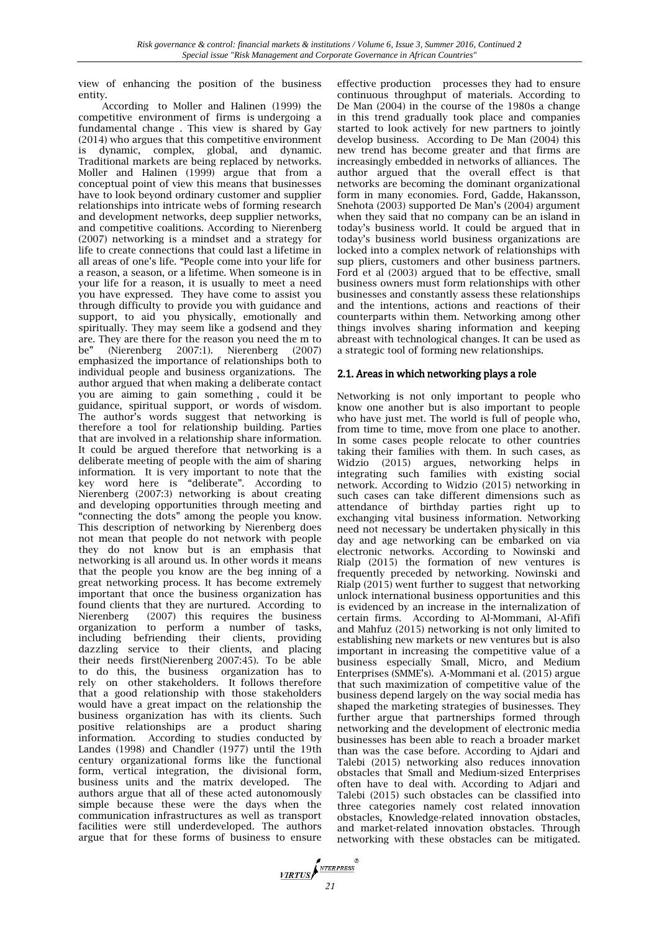view of enhancing the position of the business entity.

According to Moller and Halinen (1999) the competitive environment of firms is undergoing a fundamental change . This view is shared by Gay (2014) who argues that this competitive environment is dynamic, complex, global, and dynamic. Traditional markets are being replaced by networks. Moller and Halinen (1999) argue that from a conceptual point of view this means that businesses have to look beyond ordinary customer and supplier relationships into intricate webs of forming research and development networks, deep supplier networks, and competitive coalitions. According to Nierenberg (2007) networking is a mindset and a strategy for life to create connections that could last a lifetime in all areas of one's life. "People come into your life for a reason, a season, or a lifetime. When someone is in your life for a reason, it is usually to meet a need you have expressed. They have come to assist you through difficulty to provide you with guidance and support, to aid you physically, emotionally and spiritually. They may seem like a godsend and they are. They are there for the reason you need the m to be" (Nierenberg 2007:1). Nierenberg (2007) emphasized the importance of relationships both to individual people and business organizations. The author argued that when making a deliberate contact you are aiming to gain something , could it be guidance, spiritual support, or words of wisdom. The author's words suggest that networking is therefore a tool for relationship building. Parties that are involved in a relationship share information. It could be argued therefore that networking is a deliberate meeting of people with the aim of sharing information. It is very important to note that the key word here is "deliberate". According to Nierenberg (2007:3) networking is about creating and developing opportunities through meeting and "connecting the dots" among the people you know. This description of networking by Nierenberg does not mean that people do not network with people they do not know but is an emphasis that networking is all around us. In other words it means that the people you know are the beg inning of a great networking process. It has become extremely important that once the business organization has found clients that they are nurtured. According to Nierenberg (2007) this requires the business organization to perform a number of tasks, including befriending their clients, providing dazzling service to their clients, and placing their needs first(Nierenberg 2007:45). To be able to do this, the business organization has to rely on other stakeholders. It follows therefore that a good relationship with those stakeholders would have a great impact on the relationship the business organization has with its clients. Such positive relationships are a product sharing information. According to studies conducted by Landes (1998) and Chandler (1977) until the 19th century organizational forms like the functional form, vertical integration, the divisional form, business units and the matrix developed. The authors argue that all of these acted autonomously simple because these were the days when the communication infrastructures as well as transport facilities were still underdeveloped. The authors argue that for these forms of business to ensure

effective production processes they had to ensure continuous throughput of materials. According to De Man (2004) in the course of the 1980s a change in this trend gradually took place and companies started to look actively for new partners to jointly develop business. According to De Man (2004) this new trend has become greater and that firms are increasingly embedded in networks of alliances. The author argued that the overall effect is that networks are becoming the dominant organizational form in many economies. Ford, Gadde, Hakansson, Snehota (2003) supported De Man's (2004) argument when they said that no company can be an island in today's business world. It could be argued that in today's business world business organizations are locked into a complex network of relationships with sup pliers, customers and other business partners. Ford et al (2003) argued that to be effective, small business owners must form relationships with other businesses and constantly assess these relationships and the intentions, actions and reactions of their counterparts within them. Networking among other things involves sharing information and keeping abreast with technological changes. It can be used as a strategic tool of forming new relationships.

## 2.1. Areas in which networking plays a role

Networking is not only important to people who know one another but is also important to people who have just met. The world is full of people who, from time to time, move from one place to another. In some cases people relocate to other countries taking their families with them. In such cases, as Widzio (2015) argues, networking helps in integrating such families with existing social network. According to Widzio (2015) networking in such cases can take different dimensions such as attendance of birthday parties right up to exchanging vital business information. Networking need not necessary be undertaken physically in this day and age networking can be embarked on via electronic networks. According to Nowinski and Rialp (2015) the formation of new ventures is frequently preceded by networking. Nowinski and Rialp (2015) went further to suggest that networking unlock international business opportunities and this is evidenced by an increase in the internalization of certain firms. According to Al-Mommani, Al-Afifi and Mahfuz (2015) networking is not only limited to establishing new markets or new ventures but is also important in increasing the competitive value of a business especially Small, Micro, and Medium Enterprises (SMME's). A-Mommani et al. (2015) argue that such maximization of competitive value of the business depend largely on the way social media has shaped the marketing strategies of businesses. They further argue that partnerships formed through networking and the development of electronic media businesses has been able to reach a broader market than was the case before. According to Ajdari and Talebi (2015) networking also reduces innovation obstacles that Small and Medium-sized Enterprises often have to deal with. According to Adjari and Talebi (2015) such obstacles can be classified into three categories namely cost related innovation obstacles, Knowledge-related innovation obstacles, and market-related innovation obstacles. Through networking with these obstacles can be mitigated.

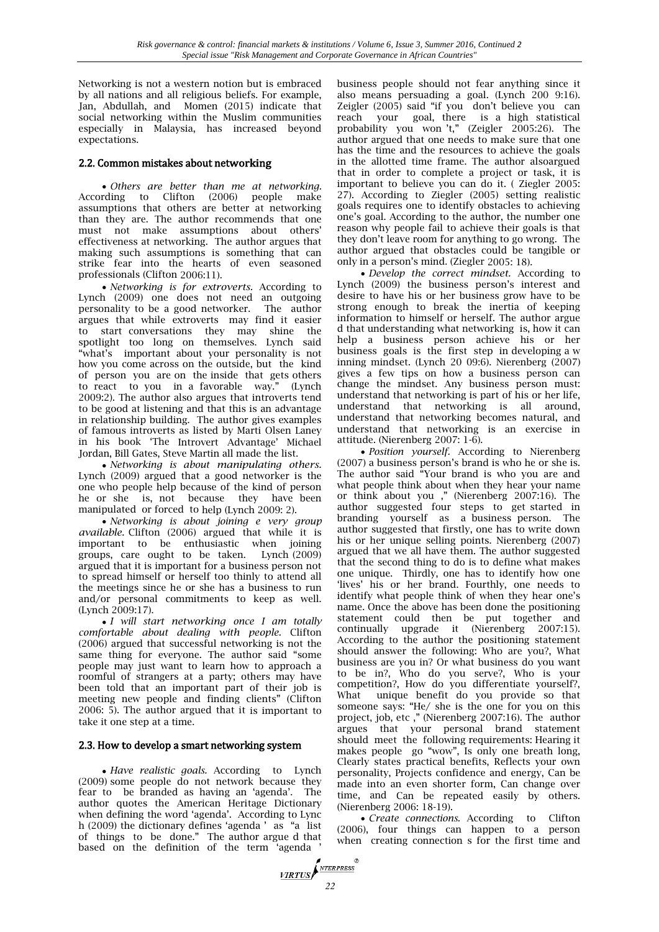Networking is not a western notion but is embraced by all nations and all religious beliefs. For example, Jan, Abdullah, and Momen (2015) indicate that social networking within the Muslim communities especially in Malaysia, has increased beyond expectations.

## 2.2. Common mistakes about networking

 *Others are better than me at networking.* According to Clifton (2006) people make assumptions that others are better at networking than they are. The author recommends that one must not make assumptions about others' effectiveness at networking. The author argues that making such assumptions is something that can strike fear into the hearts of even seasoned professionals (Clifton 2006:11).

 *Networking is for extroverts.* According to Lynch (2009) one does not need an outgoing personality to be a good networker. The author argues that while extroverts may find it easier to start conversations they may shine the spotlight too long on themselves. Lynch said "what's important about your personality is not how you come across on the outside, but the kind of person you are on the inside that gets others to react to you in a favorable way." (Lynch 2009:2). The author also argues that introverts tend to be good at listening and that this is an advantage in relationship building. The author gives examples of famous introverts as listed by Marti Olsen Laney in his book 'The Introvert Advantage' Michael Jordan, Bill Gates, Steve Martin all made the list.

 *Networking is about manipulating others.* Lynch (2009) argued that a good networker is the one who people help because of the kind of person he or she is, not because they have been manipulated or forced to help (Lynch 2009: 2).

 *Networking is about joining e very group available.* Clifton (2006) argued that while it is important to be enthusiastic when joining groups, care ought to be taken. Lynch (2009) argued that it is important for a business person not to spread himself or herself too thinly to attend all the meetings since he or she has a business to run and/or personal commitments to keep as well. (Lynch 2009:17).

 *I will start networking once I am totally comfortable about dealing with people.* Clifton (2006) argued that successful networking is not the same thing for everyone. The author said "some people may just want to learn how to approach a roomful of strangers at a party; others may have been told that an important part of their job is meeting new people and finding clients" (Clifton 2006: 5). The author argued that it is important to take it one step at a time.

## 2.3. How to develop a smart networking system

 *Have realistic goals.* According to Lynch (2009) some people do not network because they fear to be branded as having an 'agenda'. The author quotes the American Heritage Dictionary when defining the word 'agenda'. According to Lync h (2009) the dictionary defines 'agenda ' as "a list of things to be done." The author argue d that based on the definition of the term 'agenda '

business people should not fear anything since it also means persuading a goal. (Lynch 200 9:16). Zeigler (2005) said "if you don't believe you can reach your goal, there is a high statistical probability you won 't," (Zeigler 2005:26). The author argued that one needs to make sure that one has the time and the resources to achieve the goals in the allotted time frame. The author alsoargued that in order to complete a project or task, it is important to believe you can do it. ( Ziegler 2005: 27). According to Ziegler (2005) setting realistic goals requires one to identify obstacles to achieving one's goal. According to the author, the number one reason why people fail to achieve their goals is that they don't leave room for anything to go wrong. The author argued that obstacles could be tangible or only in a person's mind. (Ziegler 2005: 18).

 *Develop the correct mindset.* According to Lynch (2009) the business person's interest and desire to have his or her business grow have to be strong enough to break the inertia of keeping information to himself or herself. The author argue d that understanding what networking is, how it can help a business person achieve his or her business goals is the first step in developing a w inning mindset. (Lynch 20 09:6). Nierenberg (2007) gives a few tips on how a business person can change the mindset. Any business person must: understand that networking is part of his or her life, understand that networking is all around, understand that networking becomes natural, and understand that networking is an exercise in attitude. (Nierenberg 2007: 1-6).

 *Position yourself.* According to Nierenberg (2007) a business person's brand is who he or she is. The author said "Your brand is who you are and what people think about when they hear your name or think about you ," (Nierenberg 2007:16). The author suggested four steps to get started in branding yourself as a business person. The author suggested that firstly, one has to write down his or her unique selling points. Nierenberg (2007) argued that we all have them. The author suggested that the second thing to do is to define what makes one unique. Thirdly, one has to identify how one 'lives' his or her brand. Fourthly, one needs to identify what people think of when they hear one's name. Once the above has been done the positioning statement could then be put together and continually upgrade it (Nierenberg 2007:15). According to the author the positioning statement should answer the following: Who are you?, What business are you in? Or what business do you want to be in?, Who do you serve?, Who is your competition?, How do you differentiate yourself?, What unique benefit do you provide so that someone says: "He/ she is the one for you on this project, job, etc ," (Nierenberg 2007:16). The author argues that your personal brand statement should meet the following requirements: Hearing it makes people go "wow", Is only one breath long, Clearly states practical benefits, Reflects your own personality, Projects confidence and energy, Can be made into an even shorter form, Can change over time, and Can be repeated easily by others. (Nierenberg 2006: 18-19).

 *Create connections.* According to Clifton (2006), four things can happen to a person when creating connection s for the first time and

*VIRTUS*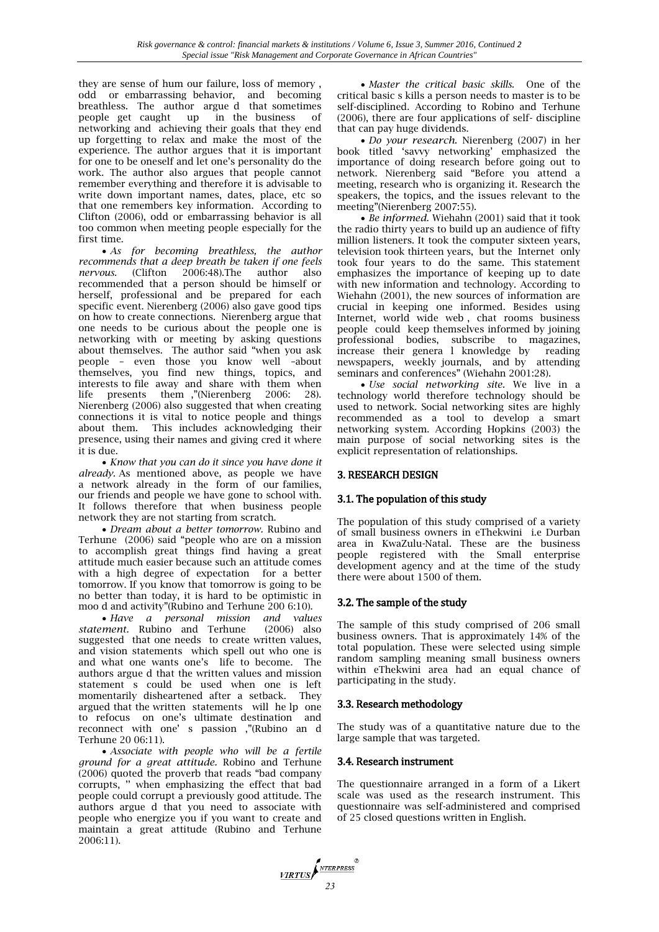they are sense of hum our failure, loss of memory , odd or embarrassing behavior, and becoming breathless. The author argue d that sometimes people get caught up in the business of networking and achieving their goals that they end up forgetting to relax and make the most of the experience. The author argues that it is important for one to be oneself and let one's personality do the work. The author also argues that people cannot remember everything and therefore it is advisable to write down important names, dates, place, etc so that one remembers key information. According to Clifton (2006), odd or embarrassing behavior is all too common when meeting people especially for the first time.

 *As for becoming breathless, the author recommends that a deep breath be taken if one feels nervous.* (Clifton 2006:48).The author also recommended that a person should be himself or herself, professional and be prepared for each specific event. Nierenberg (2006) also gave good tips on how to create connections. Nierenberg argue that one needs to be curious about the people one is networking with or meeting by asking questions about themselves. The author said "when you ask people – even those you know well –about themselves, you find new things, topics, and interests to file away and share with them when life presents them ,"(Nierenberg 2006: 28). Nierenberg (2006) also suggested that when creating connections it is vital to notice people and things about them. This includes acknowledging their presence, using their names and giving cred it where it is due.

 *Know that you can do it since you have done it already.* As mentioned above, as people we have a network already in the form of our families, our friends and people we have gone to school with. It follows therefore that when business people network they are not starting from scratch.

 *Dream about a better tomorrow.* Rubino and Terhune (2006) said "people who are on a mission to accomplish great things find having a great attitude much easier because such an attitude comes with a high degree of expectation for a better tomorrow. If you know that tomorrow is going to be no better than today, it is hard to be optimistic in moo d and activity"(Rubino and Terhune 200 6:10).

 *Have a personal mission and values statement*. Rubino and Terhune suggested that one needs to create written values, and vision statements which spell out who one is and what one wants one's life to become. The authors argue d that the written values and mission statement s could be used when one is left momentarily disheartened after a setback. They argued that the written statements will he lp one to refocus on one's ultimate destination and reconnect with one' s passion ,"(Rubino an d Terhune 20 06:11).

 *Associate with people who will be a fertile ground for a great attitude.* Robino and Terhune (2006) quoted the proverb that reads "bad company corrupts, '' when emphasizing the effect that bad people could corrupt a previously good attitude. The authors argue d that you need to associate with people who energize you if you want to create and maintain a great attitude (Rubino and Terhune 2006:11).

 *Master the critical basic skills.*One of the critical basic s kills a person needs to master is to be self-disciplined. According to Robino and Terhune (2006), there are four applications of self- discipline that can pay huge dividends.

 *Do your research.* Nierenberg (2007) in her book titled 'savvy networking' emphasized the importance of doing research before going out to network. Nierenberg said "Before you attend a meeting, research who is organizing it. Research the speakers, the topics, and the issues relevant to the meeting"(Nierenberg 2007:55).

 *Be informed.* Wiehahn (2001) said that it took the radio thirty years to build up an audience of fifty million listeners. It took the computer sixteen years, television took thirteen years, but the Internet only took four years to do the same. This statement emphasizes the importance of keeping up to date with new information and technology. According to Wiehahn (2001), the new sources of information are crucial in keeping one informed. Besides using Internet, world wide web , chat rooms business people could keep themselves informed by joining professional bodies, subscribe to magazines, increase their genera l knowledge by reading newspapers, weekly journals, and by attending seminars and conferences" (Wiehahn 2001:28).

 *Use social networking site.* We live in a technology world therefore technology should be used to network. Social networking sites are highly recommended as a tool to develop a smart networking system. According Hopkins (2003) the main purpose of social networking sites is the explicit representation of relationships.

## 3. RESEARCH DESIGN

## 3.1. The population of this study

The population of this study comprised of a variety of small business owners in eThekwini i.e Durban area in KwaZulu-Natal. These are the business people registered with the Small enterprise development agency and at the time of the study there were about 1500 of them.

## 3.2. The sample of the study

The sample of this study comprised of 206 small business owners. That is approximately 14% of the total population. These were selected using simple random sampling meaning small business owners within eThekwini area had an equal chance of participating in the study.

## 3.3. Research methodology

The study was of a quantitative nature due to the large sample that was targeted.

## 3.4. Research instrument

The questionnaire arranged in a form of a Likert scale was used as the research instrument. This questionnaire was self-administered and comprised of 25 closed questions written in English.

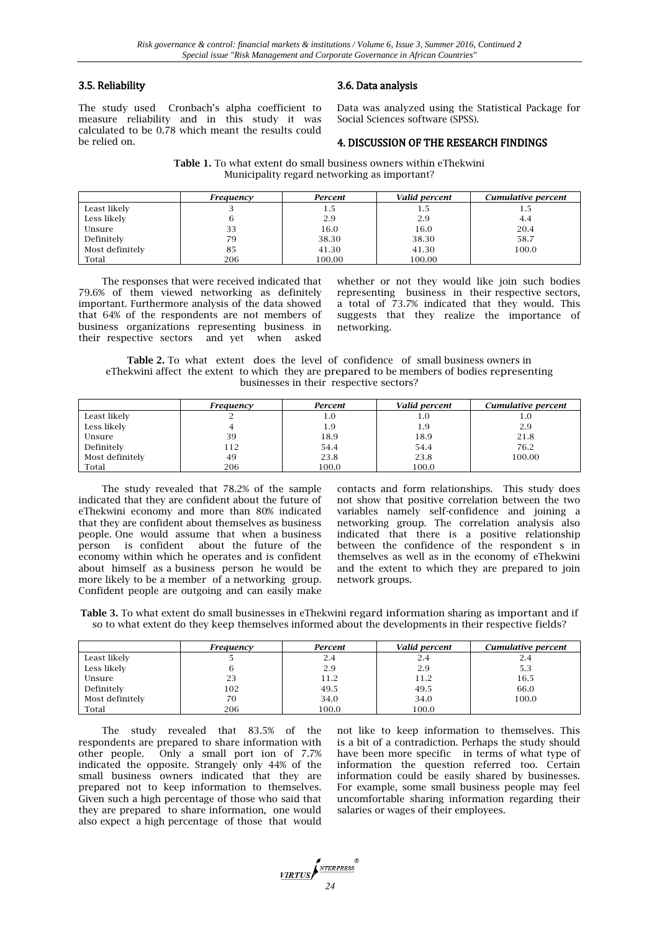## 3.5. Reliability

The study used Cronbach's alpha coefficient to measure reliability and in this study it was calculated to be 0.78 which meant the results could be relied on.

# 3.6. Data analysis

Data was analyzed using the Statistical Package for Social Sciences software (SPSS).

#### 4. DISCUSSION OF THE RESEARCH FINDINGS

**Table 1.** To what extent do small business owners within eThekwini Municipality regard networking as important?

|                 | Freauency | Percent | Valid percent | Cumulative percent |
|-----------------|-----------|---------|---------------|--------------------|
| Least likely    |           | 1.5     | 1.5           | 1.5                |
| Less likely     |           | 2.9     | 2.9           | 4.4                |
| Unsure          | 33        | 16.0    | 16.0          | 20.4               |
| Definitely      | 79        | 38.30   | 38.30         | 58.7               |
| Most definitely | 85        | 41.30   | 41.30         | 100.0              |
| Total           | 206       | 100.00  | 100.00        |                    |

The responses that were received indicated that 79.6% of them viewed networking as definitely important. Furthermore analysis of the data showed that 64% of the respondents are not members of business organizations representing business in their respective sectors and yet when asked

whether or not they would like join such bodies representing business in their respective sectors, a total of 73.7% indicated that they would. This suggests that they realize the importance of networking.

**Table 2.** To what extent does the level of confidence of small business owners in eThekwini affect the extent to which they are prepared to be members of bodies representing businesses in their respective sectors?

|                 | Frequency | Percent | Valid percent | Cumulative percent |
|-----------------|-----------|---------|---------------|--------------------|
| Least likely    |           | 1.0     | 1.0           | 1.0                |
| Less likely     |           | 1.9     | 1.9           | 2.9                |
| Unsure          | 39        | 18.9    | 18.9          | 21.8               |
| Definitely      | 112       | 54.4    | 54.4          | 76.2               |
| Most definitely | 49        | 23.8    | 23.8          | 100.00             |
| Total           | 206       | 100.0   | 100.0         |                    |

The study revealed that 78.2% of the sample indicated that they are confident about the future of eThekwini economy and more than 80% indicated that they are confident about themselves as business people. One would assume that when a business person is confident about the future of the economy within which he operates and is confident about himself as a business person he would be more likely to be a member of a networking group. Confident people are outgoing and can easily make

contacts and form relationships. This study does not show that positive correlation between the two variables namely self-confidence and joining a networking group. The correlation analysis also indicated that there is a positive relationship between the confidence of the respondent s in themselves as well as in the economy of eThekwini and the extent to which they are prepared to join network groups.

**Table 3.** To what extent do small businesses in eThekwini regard information sharing as important and if so to what extent do they keep themselves informed about the developments in their respective fields?

|                 | Frequency | Percent | Valid percent | Cumulative percent |
|-----------------|-----------|---------|---------------|--------------------|
| Least likely    |           | 2.4     | 2.4           | 2.4                |
| Less likely     |           | 2.9     | 2.9           | 5.3                |
| Unsure          | 23        | 11.2    | 11.2          | 16.5               |
| Definitely      | 102       | 49.5    | 49.5          | 66.0               |
| Most definitely | 70        | 34.0    | 34.0          | 100.0              |
| Total           | 206       | 100.0   | 100.0         |                    |

The study revealed that 83.5% of the respondents are prepared to share information with other people. Only a small port ion of 7.7% indicated the opposite. Strangely only 44% of the small business owners indicated that they are prepared not to keep information to themselves. Given such a high percentage of those who said that they are prepared to share information, one would also expect a high percentage of those that would

not like to keep information to themselves. This is a bit of a contradiction. Perhaps the study should have been more specific in terms of what type of information the question referred too. Certain information could be easily shared by businesses. For example, some small business people may feel uncomfortable sharing information regarding their salaries or wages of their employees.

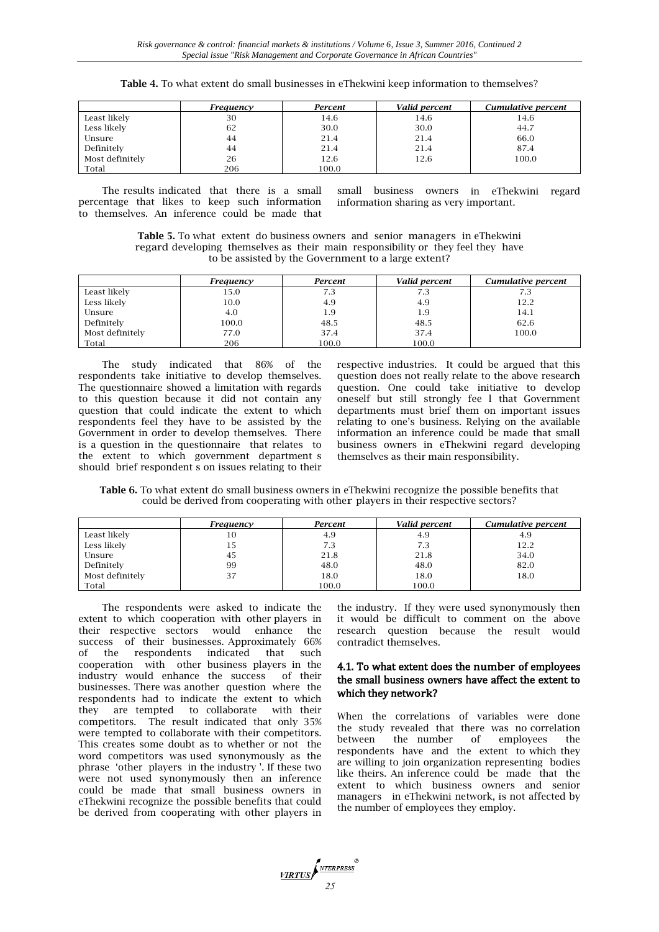| <b>Table 4.</b> To what extent do small businesses in eThekwini keep information to themselves? |  |
|-------------------------------------------------------------------------------------------------|--|
|-------------------------------------------------------------------------------------------------|--|

|                 | Frequency | Percent | Valid percent | Cumulative percent |
|-----------------|-----------|---------|---------------|--------------------|
| Least likely    | 30        | 14.6    | 14.6          | 14.6               |
| Less likely     | 62        | 30.0    | 30.0          | 44.7               |
| Unsure          | 44        | 21.4    | 21.4          | 66.0               |
| Definitely      | 44        | 21.4    | 21.4          | 87.4               |
| Most definitely | 26        | 12.6    | 12.6          | 100.0              |
| Total           | 206       | 100.0   |               |                    |

The results indicated that there is a small percentage that likes to keep such information to themselves. An inference could be made that

small business owners in eThekwini regard information sharing as very important.

**Table 5.** To what extent do business owners and senior managers in eThekwini regard developing themselves as their main responsibility or they feel they have to be assisted by the Government to a large extent?

|                 | Frequency | Percent | Valid percent | Cumulative percent |
|-----------------|-----------|---------|---------------|--------------------|
| Least likely    | 15.0      | 7.3     | 7.3           | 7.3                |
| Less likely     | 10.0      | 4.9     | 4.9           | 12.2               |
| Unsure          | 4.0       | 1.9     | 1.9           | 14.1               |
| Definitely      | 100.0     | 48.5    | 48.5          | 62.6               |
| Most definitely | 77.0      | 37.4    | 37.4          | 100.0              |
| Total           | 206       | 100.0   | 100.0         |                    |

The study indicated that 86% of the respondents take initiative to develop themselves. The questionnaire showed a limitation with regards to this question because it did not contain any question that could indicate the extent to which respondents feel they have to be assisted by the Government in order to develop themselves. There is a question in the questionnaire that relates to the extent to which government department s should brief respondent s on issues relating to their

respective industries. It could be argued that this question does not really relate to the above research question. One could take initiative to develop oneself but still strongly fee l that Government departments must brief them on important issues relating to one's business. Relying on the available information an inference could be made that small business owners in eThekwini regard developing themselves as their main responsibility.

**Table 6.** To what extent do small business owners in eThekwini recognize the possible benefits that could be derived from cooperating with other players in their respective sectors?

|                 | Frequency | Percent | Valid percent | Cumulative percent |
|-----------------|-----------|---------|---------------|--------------------|
| Least likely    | 10        | 4.9     | 4.9           | 4.9                |
| Less likely     | 15        | 7.3     | 7.3           | 12.2               |
| Unsure          | 45        | 21.8    | 21.8          | 34.0               |
| Definitely      | 99        | 48.0    | 48.0          | 82.0               |
| Most definitely | 37        | 18.0    | 18.0          | 18.0               |
| Total           |           | 100.0   | 100.0         |                    |

The respondents were asked to indicate the extent to which cooperation with other players in their respective sectors would enhance the success of their businesses. Approximately 66% of the respondents indicated that such cooperation with other business players in the industry would enhance the success of their businesses. There was another question where the respondents had to indicate the extent to which they are tempted to collaborate with their competitors. The result indicated that only 35% were tempted to collaborate with their competitors. This creates some doubt as to whether or not the word competitors was used synonymously as the phrase 'other players in the industry '. If these two were not used synonymously then an inference could be made that small business owners in eThekwini recognize the possible benefits that could be derived from cooperating with other players in

the industry. If they were used synonymously then it would be difficult to comment on the above research question because the result would contradict themselves.

#### 4.1. To what extent does the number of employees the small business owners have affect the extent to which they network?

When the correlations of variables were done the study revealed that there was no correlation between the number of employees the respondents have and the extent to which they are willing to join organization representing bodies like theirs. An inference could be made that the extent to which business owners and senior managers in eThekwini network, is not affected by the number of employees they employ.

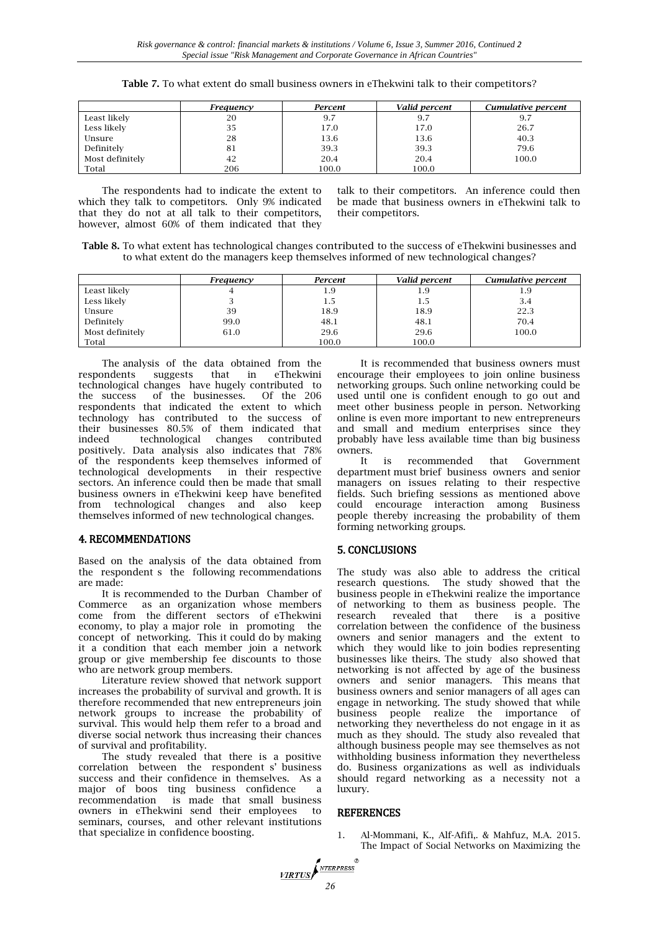|                 | Frequency | Percent | Valid percent | Cumulative percent |
|-----------------|-----------|---------|---------------|--------------------|
| Least likely    | 20        | 9.7     | 9.7           | 9.7                |
| Less likely     | 35        | 17.0    | 17.0          | 26.7               |
| Unsure          | 28        | 13.6    | 13.6          | 40.3               |
| Definitely      | 81        | 39.3    | 39.3          | 79.6               |
| Most definitely | 42        | 20.4    | 20.4          | 100.0              |
| Total           | 206       | 100.0   | 100.0         |                    |

**Table 7.** To what extent do small business owners in eThekwini talk to their competitors?

The respondents had to indicate the extent to which they talk to competitors. Only 9% indicated that they do not at all talk to their competitors, however, almost 60% of them indicated that they

talk to their competitors. An inference could then be made that business owners in eThekwini talk to their competitors.

**Table 8.** To what extent has technological changes contributed to the success of eThekwini businesses and to what extent do the managers keep themselves informed of new technological changes?

|                 | Frequency | Percent | Valid percent | Cumulative percent |
|-----------------|-----------|---------|---------------|--------------------|
| Least likely    |           | 1.9     | 1.9           | 1.9                |
| Less likely     |           | 1.5     | 1.5           | 3.4                |
| Unsure          | 39        | 18.9    | 18.9          | 22.3               |
| Definitely      | 99.0      | 48.1    | 48.1          | 70.4               |
| Most definitely | 61.0      | 29.6    | 29.6          | 100.0              |
| Total           |           | 100.0   | 100.0         |                    |

The analysis of the data obtained from the respondents suggests that in eThekwini technological changes have hugely contributed to the success of the businesses. respondents that indicated the extent to which technology has contributed to the success of their businesses 80.5% of them indicated that indeed technological changes contributed positively. Data analysis also indicates that 78% of the respondents keep themselves informed of technological developments in their respective sectors. An inference could then be made that small business owners in eThekwini keep have benefited from technological changes and also keep themselves informed of new technological changes.

## 4. RECOMMENDATIONS

Based on the analysis of the data obtained from the respondent s the following recommendations are made:

It is recommended to the Durban Chamber of Commerce as an organization whose members come from the different sectors of eThekwini economy, to play a major role in promoting the concept of networking. This it could do by making it a condition that each member join a network group or give membership fee discounts to those who are network group members.

Literature review showed that network support increases the probability of survival and growth. It is therefore recommended that new entrepreneurs join network groups to increase the probability of survival. This would help them refer to a broad and diverse social network thus increasing their chances of survival and profitability.

The study revealed that there is a positive correlation between the respondent s' business success and their confidence in themselves. As a major of boos ting business confidence a recommendation is made that small business owners in eThekwini send their employees to seminars, courses, and other relevant institutions that specialize in confidence boosting.

It is recommended that business owners must encourage their employees to join online business networking groups. Such online networking could be used until one is confident enough to go out and meet other business people in person. Networking online is even more important to new entrepreneurs and small and medium enterprises since they probably have less available time than big business owners.

It is recommended that Government department must brief business owners and senior managers on issues relating to their respective fields. Such briefing sessions as mentioned above could encourage interaction among Business people thereby increasing the probability of them forming networking groups.

#### 5. CONCLUSIONS

The study was also able to address the critical research questions. The study showed that the business people in eThekwini realize the importance of networking to them as business people. The research revealed that there is a positive correlation between the confidence of the business owners and senior managers and the extent to which they would like to join bodies representing businesses like theirs. The study also showed that networking is not affected by age of the business owners and senior managers. This means that business owners and senior managers of all ages can engage in networking. The study showed that while business people realize the importance of networking they nevertheless do not engage in it as much as they should. The study also revealed that although business people may see themselves as not withholding business information they nevertheless do. Business organizations as well as individuals should regard networking as a necessity not a luxury.

#### REFERENCES

1. Al-Mommani, K., Alf-Afifi,. & Mahfuz, M.A. 2015. The Impact of Social Networks on Maximizing the

NTERPRESS **VIRTUS**